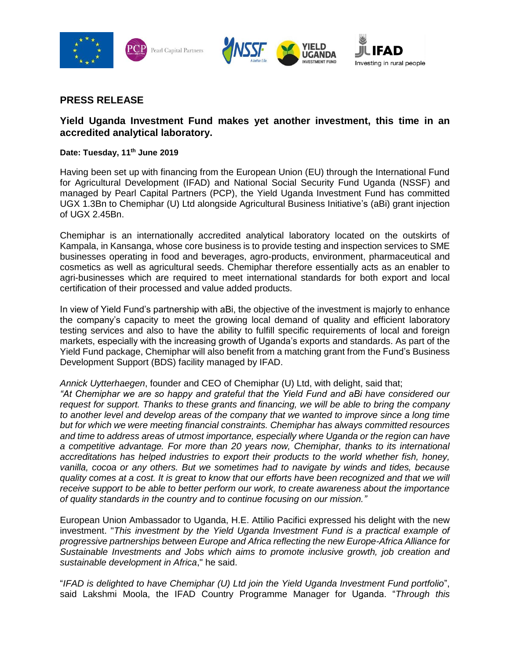





# **PRESS RELEASE**

# **Yield Uganda Investment Fund makes yet another investment, this time in an accredited analytical laboratory.**

## **Date: Tuesday, 11th June 2019**

Having been set up with financing from the European Union (EU) through the International Fund for Agricultural Development (IFAD) and National Social Security Fund Uganda (NSSF) and managed by Pearl Capital Partners (PCP), the Yield Uganda Investment Fund has committed UGX 1.3Bn to Chemiphar (U) Ltd alongside Agricultural Business Initiative's (aBi) grant injection of UGX 2.45Bn.

Chemiphar is an internationally accredited analytical laboratory located on the outskirts of Kampala, in Kansanga, whose core business is to provide testing and inspection services to SME businesses operating in food and beverages, agro-products, environment, pharmaceutical and cosmetics as well as agricultural seeds. Chemiphar therefore essentially acts as an enabler to agri-businesses which are required to meet international standards for both export and local certification of their processed and value added products.

In view of Yield Fund's partnership with aBi, the objective of the investment is majorly to enhance the company's capacity to meet the growing local demand of quality and efficient laboratory testing services and also to have the ability to fulfill specific requirements of local and foreign markets, especially with the increasing growth of Uganda's exports and standards. As part of the Yield Fund package, Chemiphar will also benefit from a matching grant from the Fund's Business Development Support (BDS) facility managed by IFAD.

*Annick Uytterhaegen*, founder and CEO of Chemiphar (U) Ltd, with delight, said that;

*"At Chemiphar we are so happy and grateful that the Yield Fund and aBi have considered our request for support. Thanks to these grants and financing, we will be able to bring the company*  to another level and develop areas of the company that we wanted to improve since a long time *but for which we were meeting financial constraints. Chemiphar has always committed resources and time to address areas of utmost importance, especially where Uganda or the region can have a competitive advantage. For more than 20 years now, Chemiphar, thanks to its international accreditations has helped industries to export their products to the world whether fish, honey, vanilla, cocoa or any others. But we sometimes had to navigate by winds and tides, because quality comes at a cost. It is great to know that our efforts have been recognized and that we will receive support to be able to better perform our work, to create awareness about the importance of quality standards in the country and to continue focusing on our mission."*

European Union Ambassador to Uganda, H.E. Attilio Pacifici expressed his delight with the new investment. "*This investment by the Yield Uganda Investment Fund is a practical example of progressive partnerships between Europe and Africa reflecting the new Europe-Africa Alliance for Sustainable Investments and Jobs which aims to promote inclusive growth, job creation and sustainable development in Africa*," he said.

"*IFAD is delighted to have Chemiphar (U) Ltd join the Yield Uganda Investment Fund portfolio*", said Lakshmi Moola, the IFAD Country Programme Manager for Uganda. "*Through this*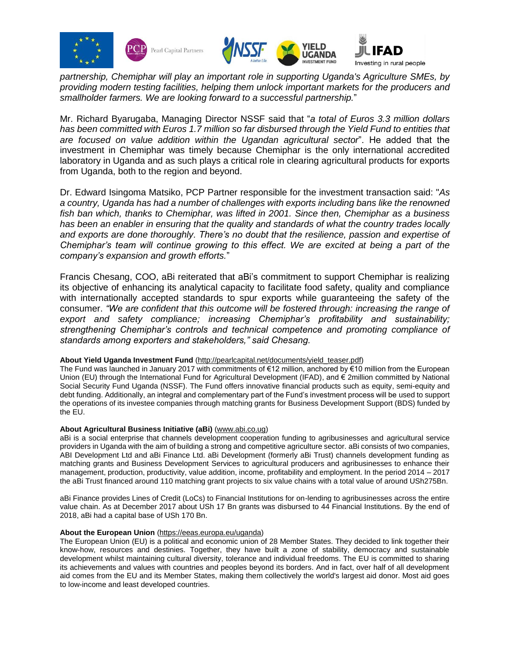





Mr. Richard Byarugaba, Managing Director NSSF said that "*a total of Euros 3.3 million dollars has been committed with Euros 1.7 million so far disbursed through the Yield Fund to entities that are focused on value addition within the Ugandan agricultural sector*". He added that the investment in Chemiphar was timely because Chemiphar is the only international accredited laboratory in Uganda and as such plays a critical role in clearing agricultural products for exports from Uganda, both to the region and beyond.

Dr. Edward Isingoma Matsiko, PCP Partner responsible for the investment transaction said: "*As a country, Uganda has had a number of challenges with exports including bans like the renowned fish ban which, thanks to Chemiphar, was lifted in 2001. Since then, Chemiphar as a business has been an enabler in ensuring that the quality and standards of what the country trades locally and exports are done thoroughly. There's no doubt that the resilience, passion and expertise of Chemiphar's team will continue growing to this effect. We are excited at being a part of the company's expansion and growth efforts.*"

Francis Chesang, COO, aBi reiterated that aBi's commitment to support Chemiphar is realizing its objective of enhancing its analytical capacity to facilitate food safety, quality and compliance with internationally accepted standards to spur exports while guaranteeing the safety of the consumer. *"We are confident that this outcome will be fostered through: increasing the range of export and safety compliance; increasing Chemiphar's profitability and sustainability; strengthening Chemiphar's controls and technical competence and promoting compliance of standards among exporters and stakeholders," said Chesang.* 

#### **About Yield Uganda Investment Fund** [\(http://pearlcapital.net/documents/yield\\_teaser.pdf\)](http://pearlcapital.net/documents/yield_teaser.pdf)

The Fund was launched in January 2017 with commitments of €12 million, anchored by €10 million from the European Union (EU) through the International Fund for Agricultural Development (IFAD), and € 2million committed by National Social Security Fund Uganda (NSSF). The Fund offers innovative financial products such as equity, semi-equity and debt funding. Additionally, an integral and complementary part of the Fund's investment process will be used to support the operations of its investee companies through matching grants for Business Development Support (BDS) funded by the EU.

#### **About Agricultural Business Initiative (aBi)** [\(www.abi.co.ug\)](http://www.abi.co.ug/)

aBi is a social enterprise that channels development cooperation funding to agribusinesses and agricultural service providers in Uganda with the aim of building a strong and competitive agriculture sector. aBi consists of two companies, ABI Development Ltd and aBi Finance Ltd. aBi Development (formerly aBi Trust) channels development funding as matching grants and Business Development Services to agricultural producers and agribusinesses to enhance their management, production, productivity, value addition, income, profitability and employment. In the period 2014 – 2017 the aBi Trust financed around 110 matching grant projects to six value chains with a total value of around USh275Bn.

aBi Finance provides Lines of Credit (LoCs) to Financial Institutions for on-lending to agribusinesses across the entire value chain. As at December 2017 about USh 17 Bn grants was disbursed to 44 Financial Institutions. By the end of 2018, aBi had a capital base of USh 170 Bn.

#### **About the European Union** [\(https://eeas.europa.eu/uganda\)](https://eeas.europa.eu/delegations/uganda_en)

The European Union (EU) is a political and economic union of 28 Member States. They decided to link together their know-how, resources and destinies. Together, they have built a zone of stability, democracy and sustainable development whilst maintaining cultural diversity, tolerance and individual freedoms. The EU is committed to sharing its achievements and values with countries and peoples beyond its borders. And in fact, over half of all development aid comes from the EU and its Member States, making them collectively the world's largest aid donor. Most aid goes to low-income and least developed countries.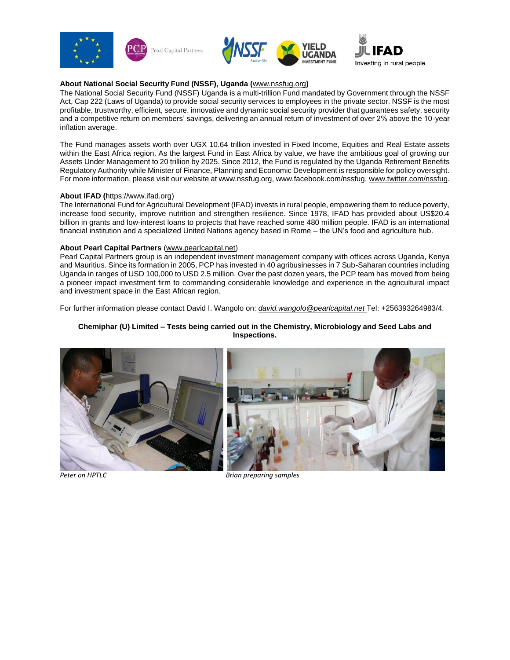





### **About National Social Security Fund (NSSF), Uganda (**[www.nssfug.org](http://www.nssfug.org/)**)**

The National Social Security Fund (NSSF) Uganda is a multi-trillion Fund mandated by Government through the NSSF Act, Cap 222 (Laws of Uganda) to provide social security services to employees in the private sector. NSSF is the most profitable, trustworthy, efficient, secure, innovative and dynamic social security provider that guarantees safety, security and a competitive return on members' savings, delivering an annual return of investment of over 2% above the 10-year inflation average.

The Fund manages assets worth over UGX 10.64 trillion invested in Fixed Income, Equities and Real Estate assets within the East Africa region. As the largest Fund in East Africa by value, we have the ambitious goal of growing our Assets Under Management to 20 trillion by 2025. Since 2012, the Fund is regulated by the Uganda Retirement Benefits Regulatory Authority while Minister of Finance, Planning and Economic Development is responsible for policy oversight. For more information, please visit our website at www.nssfug.org, www.facebook.com/nssfug, [www.twitter.com/nssfug.](http://www.twitter.com/nssfug)

#### **About IFAD (**[https://www.ifad.org\)](https://www.ifad.org/)

The International Fund for Agricultural Development (IFAD) invests in rural people, empowering them to reduce poverty, increase food security, improve nutrition and strengthen resilience. Since 1978, IFAD has provided about US\$20.4 billion in grants and low-interest loans to projects that have reached some 480 million people. IFAD is an international financial institution and a specialized United Nations agency based in Rome – the UN's food and agriculture hub.

#### **About Pearl Capital Partners** [\(www.pearlcapital.net\)](http://www.pearlcapital.net/)

Pearl Capital Partners group is an independent investment management company with offices across Uganda, Kenya and Mauritius. Since its formation in 2005, PCP has invested in 40 agribusinesses in 7 Sub-Saharan countries including Uganda in ranges of USD 100,000 to USD 2.5 million. Over the past dozen years, the PCP team has moved from being a pioneer impact investment firm to commanding considerable knowledge and experience in the agricultural impact and investment space in the East African region.

For further information please contact David I. Wangolo on: *[david.wangolo@pearlcapital.net](mailto:david.wangolo@pearlcapital.net)* Tel: +256393264983/4.

#### **Chemiphar (U) Limited – Tests being carried out in the Chemistry, Microbiology and Seed Labs and Inspections.**



*Peter on HPTLC Brian preparing samples*